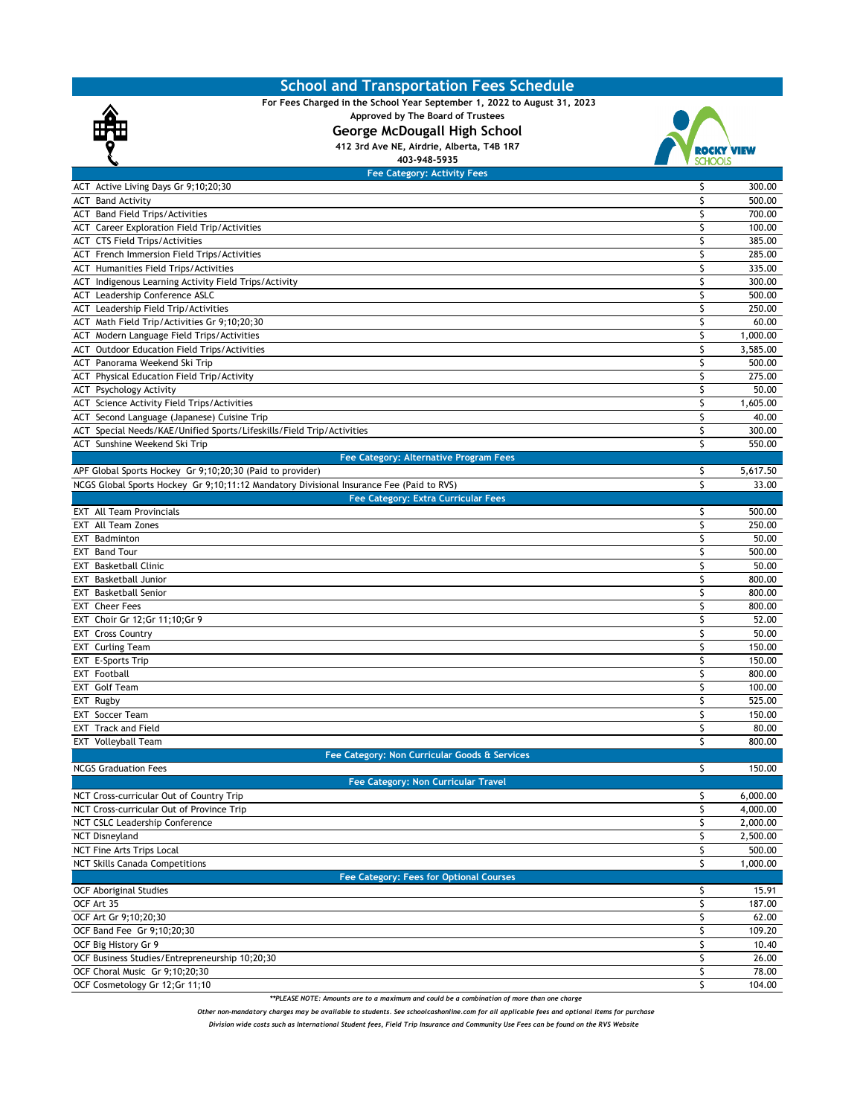## **School and Transportation Fees Schedule**



**For Fees Charged in the School Year September 1, 2022 to August 31, 2023** 

**Approved by The Board of Trustees**

**George McDougall High School 412 3rd Ave NE, Airdrie, Alberta, T4B 1R7**



| 403-948-5935                                                                             |    | <b>SCHOOLS</b> |
|------------------------------------------------------------------------------------------|----|----------------|
| <b>Fee Category: Activity Fees</b>                                                       |    |                |
| ACT Active Living Days Gr 9;10;20;30                                                     | \$ | 300.00         |
| <b>ACT</b> Band Activity                                                                 | Ś  | 500.00         |
| <b>ACT</b> Band Field Trips/Activities                                                   | \$ | 700.00         |
| ACT Career Exploration Field Trip/Activities                                             | \$ | 100.00         |
| <b>ACT CTS Field Trips/Activities</b>                                                    | \$ | 385.00         |
| ACT French Immersion Field Trips/Activities                                              | \$ | 285.00         |
| <b>ACT</b> Humanities Field Trips/Activities                                             | \$ | 335.00         |
| ACT Indigenous Learning Activity Field Trips/Activity                                    | \$ | 300.00         |
| ACT Leadership Conference ASLC                                                           | \$ | 500.00         |
| ACT Leadership Field Trip/Activities                                                     | \$ | 250.00         |
| ACT Math Field Trip/Activities Gr 9;10;20;30                                             | \$ | 60.00          |
| ACT Modern Language Field Trips/Activities                                               | \$ | 1,000.00       |
| <b>ACT</b> Outdoor Education Field Trips/Activities                                      | \$ | 3,585.00       |
| ACT Panorama Weekend Ski Trip                                                            | \$ | 500.00         |
| ACT Physical Education Field Trip/Activity                                               | \$ | 275.00         |
| <b>ACT</b> Psychology Activity                                                           | \$ | 50.00          |
| ACT Science Activity Field Trips/Activities                                              | \$ | 1,605.00       |
| ACT Second Language (Japanese) Cuisine Trip                                              | \$ | 40.00          |
| ACT Special Needs/KAE/Unified Sports/Lifeskills/Field Trip/Activities                    | \$ | 300.00         |
| ACT Sunshine Weekend Ski Trip                                                            | \$ | 550.00         |
| Fee Category: Alternative Program Fees                                                   |    |                |
| APF Global Sports Hockey Gr 9;10;20;30 (Paid to provider)                                | \$ | 5,617.50       |
| NCGS Global Sports Hockey Gr 9;10;11:12 Mandatory Divisional Insurance Fee (Paid to RVS) | Ś  | 33.00          |
| <b>Fee Category: Extra Curricular Fees</b>                                               |    |                |
| <b>EXT</b> All Team Provincials                                                          | \$ | 500.00         |
| <b>EXT</b> All Team Zones                                                                | \$ | 250.00         |
| EXT Badminton                                                                            | \$ | 50.00          |
| <b>EXT</b> Band Tour                                                                     | \$ | 500.00         |
| <b>EXT</b> Basketball Clinic                                                             | \$ | 50.00          |
| <b>EXT</b> Basketball Junior                                                             | \$ | 800.00         |
| <b>EXT</b> Basketball Senior                                                             | \$ | 800.00         |
| <b>EXT</b> Cheer Fees                                                                    | \$ | 800.00         |
| EXT Choir Gr 12; Gr 11; 10; Gr 9                                                         | \$ | 52.00          |
| <b>EXT Cross Country</b>                                                                 | \$ | 50.00          |
| <b>EXT</b> Curling Team                                                                  | \$ | 150.00         |
| EXT E-Sports Trip                                                                        | \$ | 150.00         |
| <b>EXT</b> Football                                                                      | \$ | 800.00         |
| EXT Golf Team                                                                            | \$ | 100.00         |
| EXT Rugby                                                                                | \$ | 525.00         |
| <b>EXT</b> Soccer Team                                                                   | \$ | 150.00         |
| <b>EXT</b> Track and Field                                                               | \$ | 80.00          |
|                                                                                          | \$ | 800.00         |
| EXT Volleyball Team                                                                      |    |                |
| Fee Category: Non Curricular Goods & Services                                            |    | 150.00         |
| <b>NCGS Graduation Fees</b>                                                              | \$ |                |
| <b>Fee Category: Non Curricular Travel</b>                                               |    |                |
| NCT Cross-curricular Out of Country Trip                                                 | \$ | 6,000.00       |
| NCT Cross-curricular Out of Province Trip                                                | \$ | 4,000.00       |
| NCT CSLC Leadership Conference                                                           | \$ | 2,000.00       |
| <b>NCT Disneyland</b>                                                                    | \$ | 2,500.00       |
| NCT Fine Arts Trips Local                                                                | \$ | 500.00         |
| <b>NCT Skills Canada Competitions</b>                                                    | \$ | 1,000.00       |
| Fee Category: Fees for Optional Courses                                                  |    |                |
| <b>OCF Aboriginal Studies</b>                                                            | \$ | 15.91          |
| OCF Art 35                                                                               | \$ | 187.00         |
| OCF Art Gr 9;10;20;30                                                                    | \$ | 62.00          |
| OCF Band Fee Gr 9;10;20;30                                                               | \$ | 109.20         |
| OCF Big History Gr 9                                                                     | \$ | 10.40          |
| OCF Business Studies/Entrepreneurship 10;20;30                                           | \$ | 26.00          |
| OCF Choral Music Gr 9;10;20;30                                                           | \$ | 78.00          |
| OCF Cosmetology Gr 12;Gr 11;10                                                           | Ś  | 104.00         |

*\*\*PLEASE NOTE: Amounts are to a maximum and could be a combination of more than one charge* 

*Other non-mandatory charges may be available to students. See schoolcashonline.com for all applicable fees and optional items for purchase* 

*Division wide costs such as International Student fees, Field Trip Insurance and Community Use Fees can be found on the RVS Website*